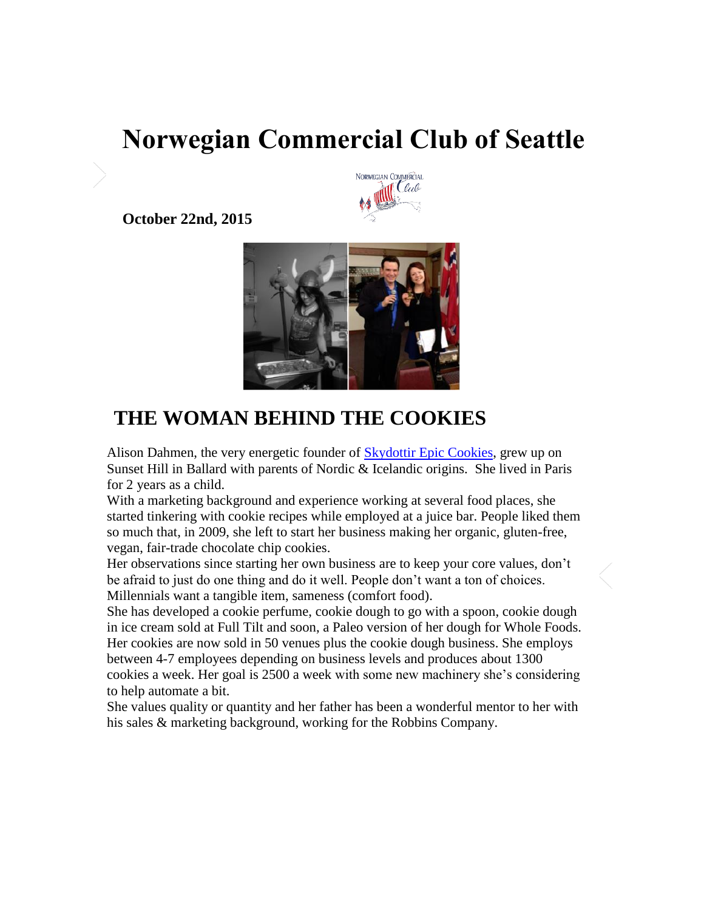# **Norwegian Commercial Club of Seattle**



**October 22nd, 2015** 



## **THE WOMAN BEHIND THE COOKIES**

Alison Dahmen, the very energetic founder of **Skydottir Epic Cookies**, grew up on Sunset Hill in Ballard with parents of Nordic & Icelandic origins. She lived in Paris for 2 years as a child.

With a marketing background and experience working at several food places, she started tinkering with cookie recipes while employed at a juice bar. People liked them so much that, in 2009, she left to start her business making her organic, gluten-free, vegan, fair-trade chocolate chip cookies.

Her observations since starting her own business are to keep your core values, don't be afraid to just do one thing and do it well. People don't want a ton of choices. Millennials want a tangible item, sameness (comfort food).

She has developed a cookie perfume, cookie dough to go with a spoon, cookie dough in ice cream sold at Full Tilt and soon, a Paleo version of her dough for Whole Foods. Her cookies are now sold in 50 venues plus the cookie dough business. She employs between 4-7 employees depending on business levels and produces about 1300 cookies a week. Her goal is 2500 a week with some new machinery she's considering to help automate a bit.

She values quality or quantity and her father has been a wonderful mentor to her with his sales & marketing background, working for the Robbins Company.